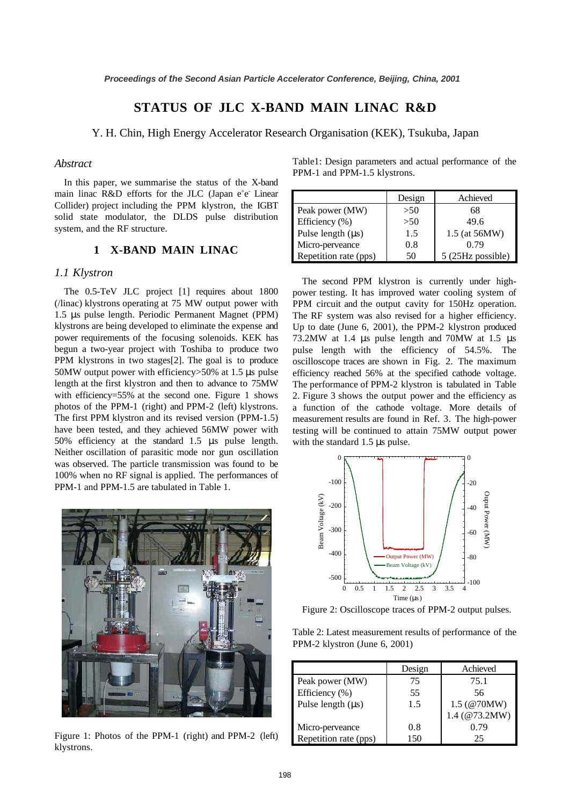# **STATUS OF JLC X-BAND MAIN LINAC R&D**

## Y. H. Chin, High Energy Accelerator Research Organisation (KEK), Tsukuba, Japan

# *Abstract*

In this paper, we summarise the status of the X-band main linac R&D efforts for the JLC (Japan e<sup>+</sup>e Linear Collider) project including the PPM klystron, the IGBT solid state modulator, the DLDS pulse distribution system, and the RF structure.

# **1 X-BAND MAIN LINAC**

#### *1.1 Klystron*

The 0.5-TeV JLC project [1] requires about 1800 (/linac) klystrons operating at 75 MW output power with 1.5 µs pulse length. Periodic Permanent Magnet (PPM) klystrons are being developed to eliminate the expense and power requirements of the focusing solenoids. KEK has begun a two-year project with Toshiba to produce two PPM klystrons in two stages[2]. The goal is to produce 50MW output power with efficiency>50% at 1.5 µs pulse length at the first klystron and then to advance to 75MW with efficiency=55% at the second one. Figure 1 shows photos of the PPM-1 (right) and PPM-2 (left) klystrons. The first PPM klystron and its revised version (PPM-1.5) have been tested, and they achieved 56MW power with 50% efficiency at the standard 1.5 µs pulse length. Neither oscillation of parasitic mode nor gun oscillation was observed. The particle transmission was found to be 100% when no RF signal is applied. The performances of PPM-1 and PPM-1.5 are tabulated in Table 1.



Figure 1: Photos of the PPM-1 (right) and PPM-2 (left) klystrons.

Table1: Design parameters and actual performance of the PPM-1 and PPM-1.5 klystrons.

|                        | Design | Achieved          |
|------------------------|--------|-------------------|
| Peak power (MW)        | >50    | 68                |
| Efficiency (%)         | >50    | 49.6              |
| Pulse length $(\mu s)$ | 1.5    | 1.5 (at 56MW)     |
| Micro-perveance        | 0.8    | 0.79              |
| Repetition rate (pps)  | 50     | 5 (25Hz possible) |

The second PPM klystron is currently under highpower testing. It has improved water cooling system of PPM circuit and the output cavity for 150Hz operation. The RF system was also revised for a higher efficiency. Up to date (June 6, 2001), the PPM-2 klystron produced 73.2MW at 1.4 µs pulse length and 70MW at 1.5 µs pulse length with the efficiency of 54.5%. The oscilloscope traces are shown in Fig. 2. The maximum efficiency reached 56% at the specified cathode voltage. The performance of PPM-2 klystron is tabulated in Table 2. Figure 3 shows the output power and the efficiency as a function of the cathode voltage. More details of measurement results are found in Ref. 3. The high-power testing will be continued to attain 75MW output power with the standard 1.5 µs pulse.



Figure 2: Oscilloscope traces of PPM-2 output pulses.

Table 2: Latest measurement results of performance of the PPM-2 klystron (June 6, 2001)

|                        | Design | Achieved                                 |
|------------------------|--------|------------------------------------------|
| Peak power (MW)        | 75     | 75.1                                     |
| Efficiency (%)         | 55     | 56                                       |
| Pulse length $(\mu s)$ | 1.5    | $1.5 \, (\textcircled{a}70MW)$           |
|                        |        | $1.4 \ (\textcircled{a} 73.2 \text{MW})$ |
| Micro-perveance        | 0.8    | 0.79                                     |
| Repetition rate (pps)  | 150    | 25                                       |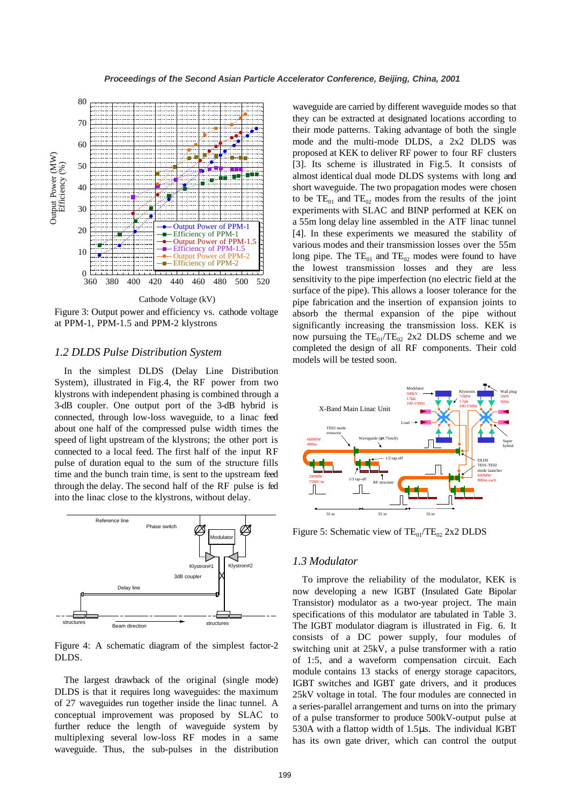

Figure 3: Output power and efficiency vs. cathode voltage at PPM-1, PPM-1.5 and PPM-2 klystrons

### *1.2 DLDS Pulse Distribution System*

In the simplest DLDS (Delay Line Distribution System), illustrated in Fig.4, the RF power from two klystrons with independent phasing is combined through a 3-dB coupler. One output port of the 3-dB hybrid is connected, through low-loss waveguide, to a linac feed about one half of the compressed pulse width times the speed of light upstream of the klystrons; the other port is connected to a local feed. The first half of the input RF pulse of duration equal to the sum of the structure fills time and the bunch train time, is sent to the upstream feed through the delay. The second half of the RF pulse is fed into the linac close to the klystrons, without delay.



Figure 4: A schematic diagram of the simplest factor-2 DLDS.

The largest drawback of the original (single mode) DLDS is that it requires long waveguides: the maximum of 27 waveguides run together inside the linac tunnel. A conceptual improvement was proposed by SLAC to further reduce the length of waveguide system by multiplexing several low-loss RF modes in a same waveguide. Thus, the sub-pulses in the distribution waveguide are carried by different waveguide modes so that they can be extracted at designated locations according to their mode patterns. Taking advantage of both the single mode and the multi-mode DLDS, a 2x2 DLDS was proposed at KEK to deliver RF power to four RF clusters [3]. Its scheme is illustrated in Fig.5. It consists of almost identical dual mode DLDS systems with long and short waveguide. The two propagation modes were chosen to be  $TE_{01}$  and  $TE_{02}$  modes from the results of the joint experiments with SLAC and BINP performed at KEK on a 55m long delay line assembled in the ATF linac tunnel [4]. In these experiments we measured the stability of various modes and their transmission losses over the 55m long pipe. The  $TE_{01}$  and  $TE_{02}$  modes were found to have the lowest transmission losses and they are less sensitivity to the pipe imperfection (no electric field at the surface of the pipe). This allows a looser tolerance for the pipe fabrication and the insertion of expansion joints to absorb the thermal expansion of the pipe without significantly increasing the transmission loss. KEK is now pursuing the  $TE_{01}/TE_{02}$  2x2 DLDS scheme and we completed the design of all RF components. Their cold models will be tested soon.



Figure 5: Schematic view of  $TE_{01}/TE_{02}$  2x2 DLDS

#### *1.3 Modulator*

To improve the reliability of the modulator, KEK is now developing a new IGBT (Insulated Gate Bipolar Transistor) modulator as a two-year project. The main specifications of this modulator are tabulated in Table 3. The IGBT modulator diagram is illustrated in Fig. 6. It consists of a DC power supply, four modules of switching unit at 25kV, a pulse transformer with a ratio of 1:5, and a waveform compensation circuit. Each module contains 13 stacks of energy storage capacitors, IGBT switches and IGBT gate drivers, and it produces 25kV voltage in total. The four modules are connected in a series-parallel arrangement and turns on into the primary of a pulse transformer to produce 500kV-output pulse at 530A with a flattop width of 1.5µs. The individual IGBT has its own gate driver, which can control the output